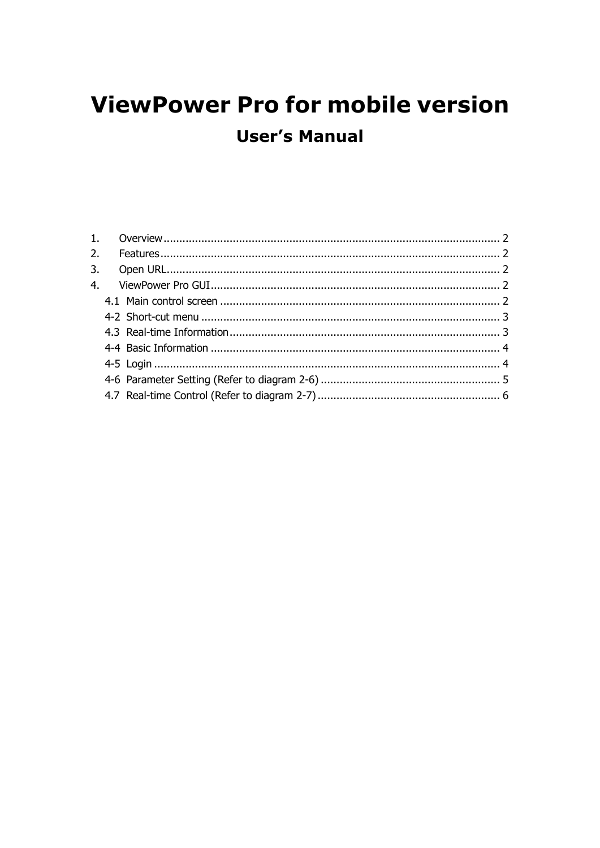# **ViewPower Pro for mobile version User's Manual**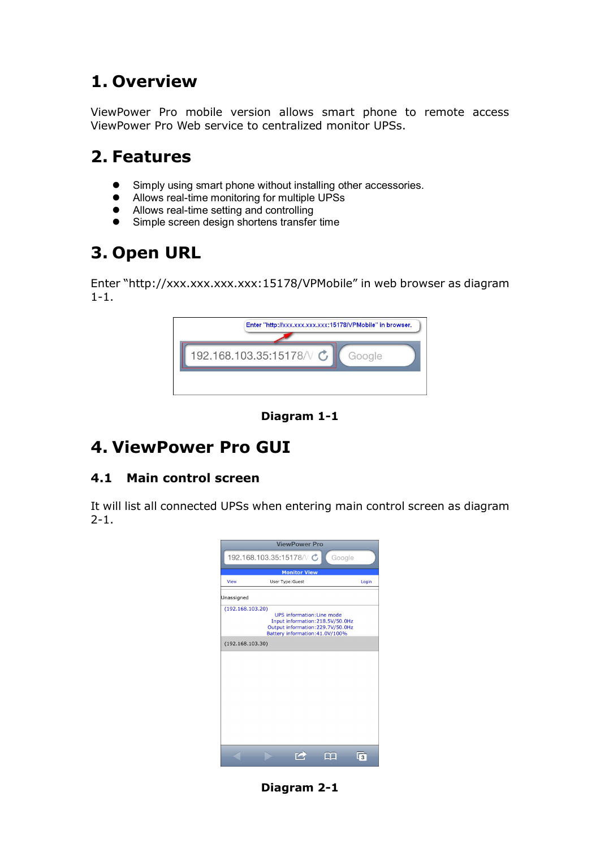## **1. Overview**

ViewPower Pro mobile version allows smart phone to remote access ViewPower Pro Web service to centralized monitor UPSs.

### **2. Features**

- **.** Simply using smart phone without installing other accessories.
- Allows real-time monitoring for multiple UPSs
- Allows real-time setting and controlling<br>• Simple screen design shortens transfel
- Simple screen design shortens transfer time

# **3. Open URL**

Enter "http://xxx.xxx.xxx.xxx:15178/VPMobile" in web browser as diagram  $1 - 1$ .



**Diagram** 1-1

## **4. ViewPower Pro GUI**

#### **4.1 Main control screen**

It will list all connected UPSs when entering main control screen as diagram  $2 - 1$ .



**Diagram** 2-1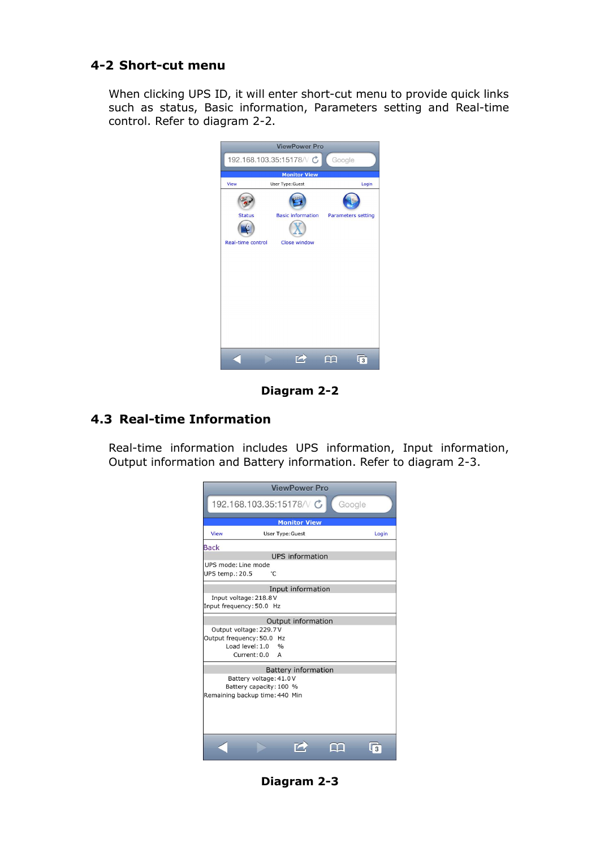#### **4-2 Short-cut menu**

When clicking UPS ID, it will enter short-cut menu to provide quick links such as status, Basic information, Parameters setting and Real-time control. Refer to diagram 2-2.



**Diagram** 2-2

#### **4.3 Real-time Information**

Real-time information includes UPS information, Input information, Output information and Battery information. Refer to diagram 2-3.

| <b>ViewPower Pro</b>                              |                                                      |  |  |  |  |  |  |
|---------------------------------------------------|------------------------------------------------------|--|--|--|--|--|--|
| 192.168.103.35:15178/ $\vee$<br>Google            |                                                      |  |  |  |  |  |  |
| <b>Monitor View</b>                               |                                                      |  |  |  |  |  |  |
| View                                              | Login<br><b>User Type: Guest</b>                     |  |  |  |  |  |  |
| <b>Back</b>                                       |                                                      |  |  |  |  |  |  |
| <b>UPS</b> information                            |                                                      |  |  |  |  |  |  |
| UPS mode: Line mode<br>°C<br>UPS temp.: 20.5      |                                                      |  |  |  |  |  |  |
| Input information                                 |                                                      |  |  |  |  |  |  |
| Input voltage: 218.8V<br>Input frequency: 50.0 Hz |                                                      |  |  |  |  |  |  |
| Output information                                |                                                      |  |  |  |  |  |  |
| Output voltage: 229.7V                            |                                                      |  |  |  |  |  |  |
|                                                   | Output frequency: 50.0 Hz<br>Load level: 1.0<br>0/6  |  |  |  |  |  |  |
|                                                   | Current: 0.0<br>$\mathsf{A}$                         |  |  |  |  |  |  |
|                                                   |                                                      |  |  |  |  |  |  |
|                                                   | <b>Battery information</b><br>Battery voltage: 41.0V |  |  |  |  |  |  |
| Battery capacity: 100 %                           |                                                      |  |  |  |  |  |  |
| Remaining backup time: 440 Min                    |                                                      |  |  |  |  |  |  |
|                                                   |                                                      |  |  |  |  |  |  |
|                                                   |                                                      |  |  |  |  |  |  |
|                                                   |                                                      |  |  |  |  |  |  |
|                                                   |                                                      |  |  |  |  |  |  |
|                                                   |                                                      |  |  |  |  |  |  |
|                                                   |                                                      |  |  |  |  |  |  |

**Diagram** 2-3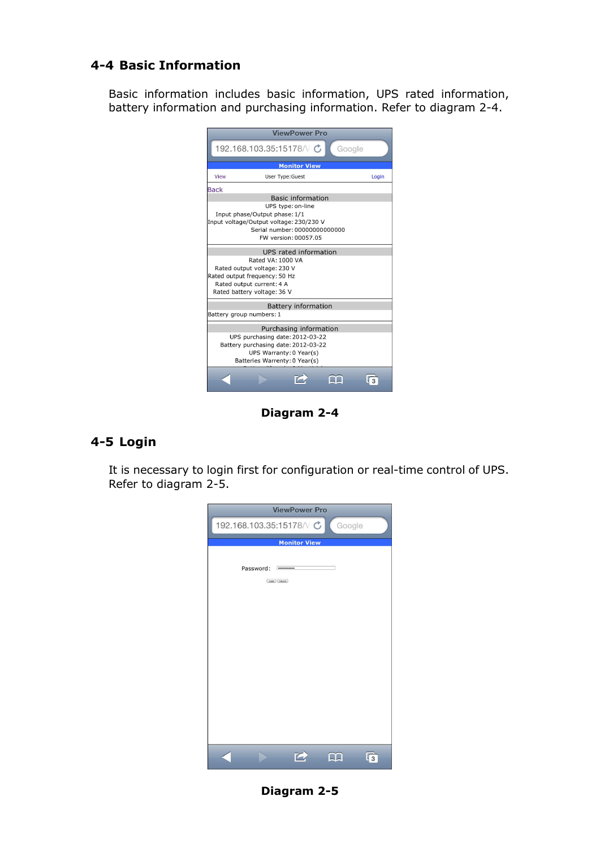#### **44 Basic Information**

Basic information includes basic information, UPS rated information, battery information and purchasing information. Refer to diagram 24.



**Diagram** 2-4

#### **45 Login**

It is necessary to login first for configuration or real-time control of UPS. Refer to diagram 2-5.



**Diagram 25**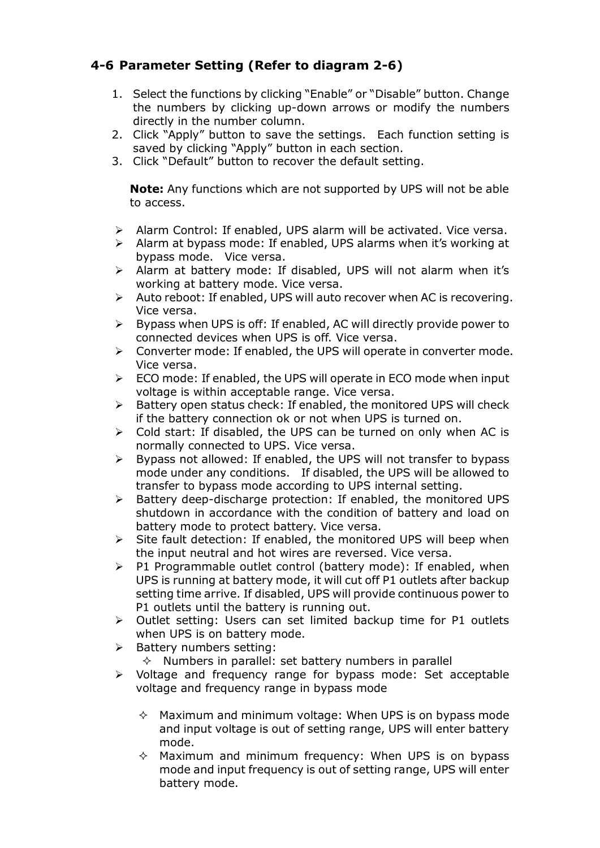### **46 Parameter Setting (Refer to diagram 26)**

- 1. Select the functions by clicking "Enable" or "Disable" button. Change the numbers by clicking up-down arrows or modify the numbers directly in the number column.
- 2. Click "Apply" button to save the settings. Each function setting is saved by clicking "Apply" button in each section.
- 3. Click "Default" button to recover the default setting.

**Note:** Any functions which are not supported by UPS will not be able to access.

- $\triangleright$  Alarm Control: If enabled, UPS alarm will be activated. Vice versa.
- $\triangleright$  Alarm at bypass mode: If enabled, UPS alarms when it's working at bypass mode. Vice versa.
- $\triangleright$  Alarm at battery mode: If disabled, UPS will not alarm when it's working at battery mode. Vice versa.
- $\triangleright$  Auto reboot: If enabled, UPS will auto recover when AC is recovering. Vice versa.
- $\triangleright$  Bypass when UPS is off: If enabled, AC will directly provide power to connected devices when UPS is off. Vice versa.
- $\triangleright$  Converter mode: If enabled, the UPS will operate in converter mode. Vice versa.
- $\triangleright$  ECO mode: If enabled, the UPS will operate in ECO mode when input voltage is within acceptable range. Vice versa.
- $\triangleright$  Battery open status check: If enabled, the monitored UPS will check if the battery connection ok or not when UPS is turned on.
- $\triangleright$  Cold start: If disabled, the UPS can be turned on only when AC is normally connected to UPS. Vice versa.
- $\triangleright$  Bypass not allowed: If enabled, the UPS will not transfer to bypass mode under any conditions. If disabled, the UPS will be allowed to transfer to bypass mode according to UPS internal setting.
- $\triangleright$  Battery deep-discharge protection: If enabled, the monitored UPS shutdown in accordance with the condition of battery and load on battery mode to protect battery. Vice versa.
- $\triangleright$  Site fault detection: If enabled, the monitored UPS will beep when the input neutral and hot wires are reversed. Vice versa.
- $\triangleright$  P1 Programmable outlet control (battery mode): If enabled, when UPS is running at battery mode, it will cut off P1 outlets after backup setting time arrive. If disabled, UPS will provide continuous power to P1 outlets until the battery is running out.
- $\triangleright$  Outlet setting: Users can set limited backup time for P1 outlets when UPS is on battery mode.
- $\triangleright$  Battery numbers setting:
	- $\Diamond$  Numbers in parallel: set battery numbers in parallel
- $\triangleright$  Voltage and frequency range for bypass mode: Set acceptable voltage and frequency range in bypass mode
	- $\Diamond$  Maximum and minimum voltage: When UPS is on bypass mode and input voltage is out of setting range, UPS will enter battery mode.
	- $\Diamond$  Maximum and minimum frequency: When UPS is on bypass mode and input frequency is out of setting range, UPS will enter battery mode.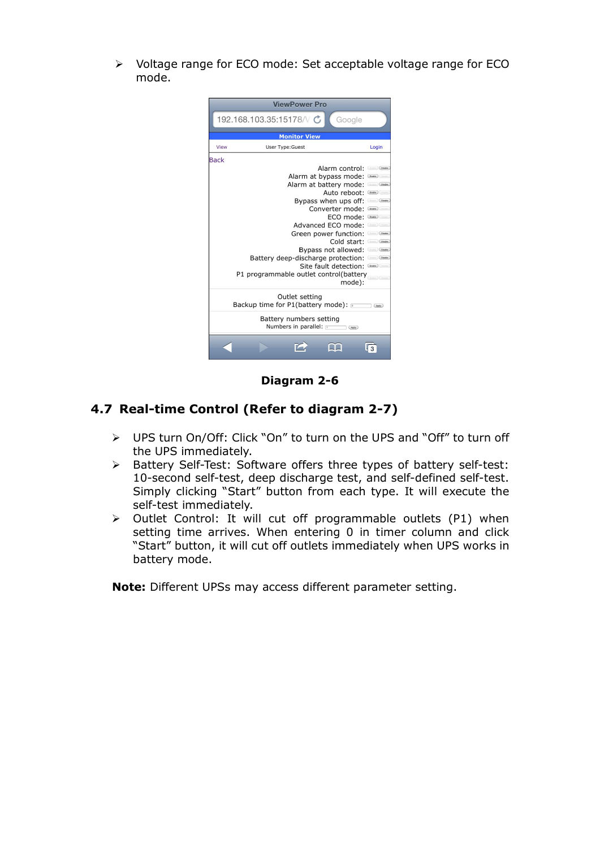ÿ Voltage range for ECO mode: Set acceptable voltage range for ECO mode.



**Diagram** 2-6

### **4.7 Real-time Control (Refer to diagram 2-7)**

- ÿ UPS turn On/Off: Click "On" to turn on the UPS and "Off" to turn off the UPS immediately.
- $\triangleright$  Battery Self-Test: Software offers three types of battery self-test: 10-second self-test, deep discharge test, and self-defined self-test. Simply clicking "Start" button from each type. It will execute the self-test immediately.
- $\triangleright$  Outlet Control: It will cut off programmable outlets (P1) when setting time arrives. When entering 0 in timer column and click "Start" button, it will cut off outlets immediately when UPS works in battery mode.

**Note:** Different UPSs may access different parameter setting.